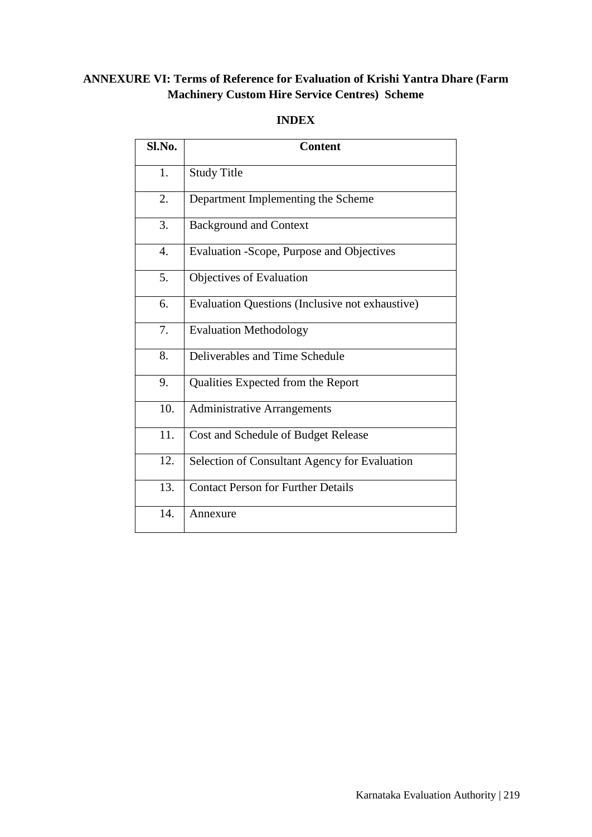# **ANNEXURE VI: Terms of Reference for Evaluation of Krishi Yantra Dhare (Farm Machinery Custom Hire Service Centres) Scheme**

# **INDEX**

| Sl.No.           | <b>Content</b>                                  |
|------------------|-------------------------------------------------|
| 1.               | <b>Study Title</b>                              |
| 2.               | Department Implementing the Scheme              |
| 3.               | <b>Background and Context</b>                   |
| $\overline{4}$ . | Evaluation - Scope, Purpose and Objectives      |
| 5.               | Objectives of Evaluation                        |
| 6.               | Evaluation Questions (Inclusive not exhaustive) |
| 7.               | <b>Evaluation Methodology</b>                   |
| 8.               | Deliverables and Time Schedule                  |
| 9.               | Qualities Expected from the Report              |
| 10.              | <b>Administrative Arrangements</b>              |
| 11.              | Cost and Schedule of Budget Release             |
| 12.              | Selection of Consultant Agency for Evaluation   |
| 13.              | <b>Contact Person for Further Details</b>       |
| 14.              | Annexure                                        |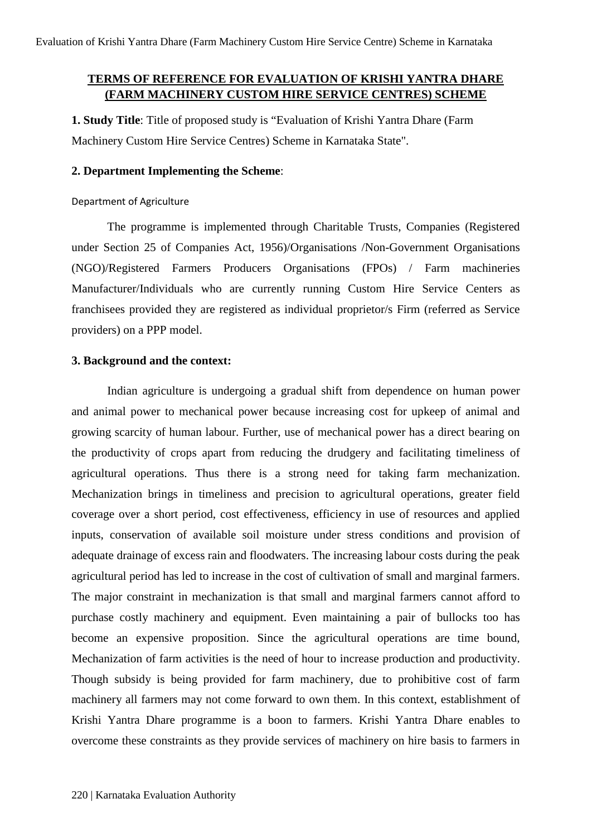# **TERMS OF REFERENCE FOR EVALUATION OF KRISHI YANTRA DHARE (FARM MACHINERY CUSTOM HIRE SERVICE CENTRES) SCHEME**

**1. Study Title**: Title of proposed study is "Evaluation of Krishi Yantra Dhare (Farm Machinery Custom Hire Service Centres) Scheme in Karnataka State".

### **2. Department Implementing the Scheme**:

Department of Agriculture

The programme is implemented through Charitable Trusts, Companies (Registered under Section 25 of Companies Act, 1956)/Organisations /Non-Government Organisations (NGO)/Registered Farmers Producers Organisations (FPOs) / Farm machineries Manufacturer/Individuals who are currently running Custom Hire Service Centers as franchisees provided they are registered as individual proprietor/s Firm (referred as Service providers) on a PPP model.

#### **3. Background and the context:**

Indian agriculture is undergoing a gradual shift from dependence on human power and animal power to mechanical power because increasing cost for upkeep of animal and growing scarcity of human labour. Further, use of mechanical power has a direct bearing on the productivity of crops apart from reducing the drudgery and facilitating timeliness of agricultural operations. Thus there is a strong need for taking farm mechanization. Mechanization brings in timeliness and precision to agricultural operations, greater field coverage over a short period, cost effectiveness, efficiency in use of resources and applied inputs, conservation of available soil moisture under stress conditions and provision of adequate drainage of excess rain and floodwaters. The increasing labour costs during the peak agricultural period has led to increase in the cost of cultivation of small and marginal farmers. The major constraint in mechanization is that small and marginal farmers cannot afford to purchase costly machinery and equipment. Even maintaining a pair of bullocks too has become an expensive proposition. Since the agricultural operations are time bound, Mechanization of farm activities is the need of hour to increase production and productivity. Though subsidy is being provided for farm machinery, due to prohibitive cost of farm machinery all farmers may not come forward to own them. In this context, establishment of Krishi Yantra Dhare programme is a boon to farmers. Krishi Yantra Dhare enables to overcome these constraints as they provide services of machinery on hire basis to farmers in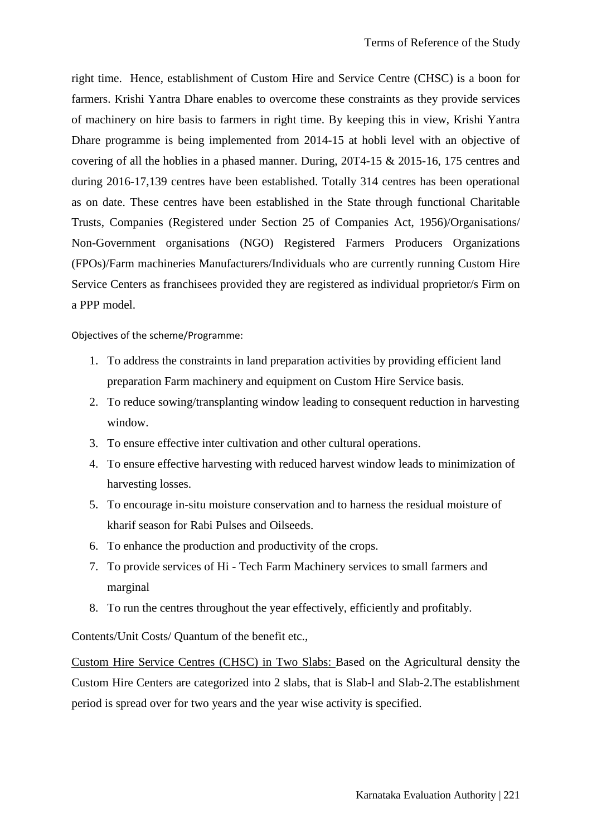right time. Hence, establishment of Custom Hire and Service Centre (CHSC) is a boon for farmers. Krishi Yantra Dhare enables to overcome these constraints as they provide services of machinery on hire basis to farmers in right time. By keeping this in view, Krishi Yantra Dhare programme is being implemented from 2014-15 at hobli level with an objective of covering of all the hoblies in a phased manner. During, 20T4-15 & 2015-16, 175 centres and during 2016-17,139 centres have been established. Totally 314 centres has been operational as on date. These centres have been established in the State through functional Charitable Trusts, Companies (Registered under Section 25 of Companies Act, 1956)/Organisations/ Non-Government organisations (NGO) Registered Farmers Producers Organizations (FPOs)/Farm machineries Manufacturers/Individuals who are currently running Custom Hire Service Centers as franchisees provided they are registered as individual proprietor/s Firm on a PPP model.

Objectives of the scheme/Programme:

- 1. To address the constraints in land preparation activities by providing efficient land preparation Farm machinery and equipment on Custom Hire Service basis.
- 2. To reduce sowing/transplanting window leading to consequent reduction in harvesting window.
- 3. To ensure effective inter cultivation and other cultural operations.
- 4. To ensure effective harvesting with reduced harvest window leads to minimization of harvesting losses.
- 5. To encourage in-situ moisture conservation and to harness the residual moisture of kharif season for Rabi Pulses and Oilseeds.
- 6. To enhance the production and productivity of the crops.
- 7. To provide services of Hi Tech Farm Machinery services to small farmers and marginal
- 8. To run the centres throughout the year effectively, efficiently and profitably.

Contents/Unit Costs/ Quantum of the benefit etc.,

Custom Hire Service Centres (CHSC) in Two Slabs: Based on the Agricultural density the Custom Hire Centers are categorized into 2 slabs, that is Slab-l and Slab-2.The establishment period is spread over for two years and the year wise activity is specified.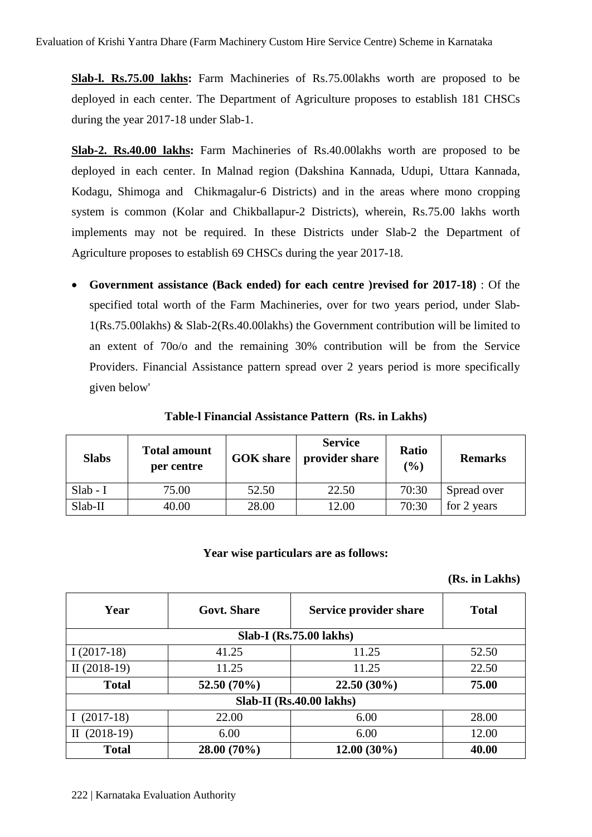**Slab-l. Rs.75.00 lakhs:** Farm Machineries of Rs.75.00lakhs worth are proposed to be deployed in each center. The Department of Agriculture proposes to establish 181 CHSCs during the year 2017-18 under Slab-1.

**Slab-2. Rs.40.00 lakhs:** Farm Machineries of Rs.40.00lakhs worth are proposed to be deployed in each center. In Malnad region (Dakshina Kannada, Udupi, Uttara Kannada, Kodagu, Shimoga and Chikmagalur-6 Districts) and in the areas where mono cropping system is common (Kolar and Chikballapur-2 Districts), wherein, Rs.75.00 lakhs worth implements may not be required. In these Districts under Slab-2 the Department of Agriculture proposes to establish 69 CHSCs during the year 2017-18.

• **Government assistance (Back ended) for each centre )revised for 2017-18)** : Of the specified total worth of the Farm Machineries, over for two years period, under Slab-1(Rs.75.00lakhs) & Slab-2(Rs.40.00lakhs) the Government contribution will be limited to an extent of 70o/o and the remaining 30% contribution will be from the Service Providers. Financial Assistance pattern spread over 2 years period is more specifically given below'

| <b>Slabs</b> | <b>Total amount</b><br>per centre | <b>GOK</b> share | <b>Service</b><br>provider share | Ratio<br>(%) | <b>Remarks</b> |
|--------------|-----------------------------------|------------------|----------------------------------|--------------|----------------|
| $Slab - I$   | 75.00                             | 52.50            | 22.50                            | 70:30        | Spread over    |
| Slab-II      | 40.00                             | 28.00            | 12.00                            | 70:30        | for 2 years    |

**Table-l Financial Assistance Pattern (Rs. in Lakhs)**

### **Year wise particulars are as follows:**

**(Rs. in Lakhs)**

| Year                       | <b>Govt.</b> Share | Service provider share  | <b>Total</b> |  |
|----------------------------|--------------------|-------------------------|--------------|--|
|                            |                    | Slab-I (Rs.75.00 lakhs) |              |  |
| $I(2017-18)$               | 41.25              | 11.25                   | 52.50        |  |
| II $(2018-19)$             | 11.25              | 11.25                   | 22.50        |  |
| <b>Total</b>               | 52.50 (70%)        | $22.50(30\%)$           | 75.00        |  |
| $Slab-II (Rs.40.00 lakhs)$ |                    |                         |              |  |
| $(2017-18)$                | 22.00              | 6.00                    | 28.00        |  |
| $(2018-19)$<br>П           | 6.00               | 6.00                    | 12.00        |  |
| <b>Total</b>               | 28.00 (70%)        | $12.00(30\%)$           | 40.00        |  |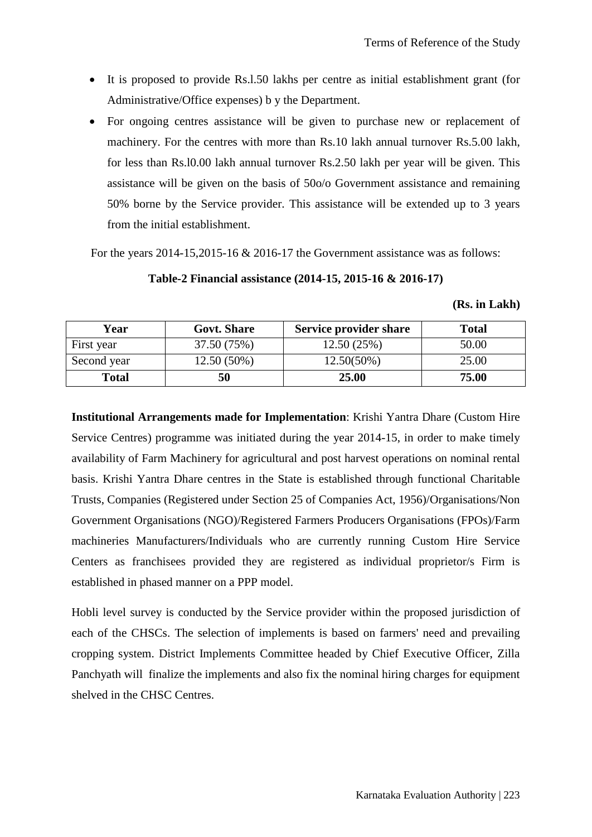- It is proposed to provide Rs.l.50 lakhs per centre as initial establishment grant (for Administrative/Office expenses) b y the Department.
- For ongoing centres assistance will be given to purchase new or replacement of machinery. For the centres with more than Rs.10 lakh annual turnover Rs.5.00 lakh, for less than Rs.l0.00 lakh annual turnover Rs.2.50 lakh per year will be given. This assistance will be given on the basis of 50o/o Government assistance and remaining 50% borne by the Service provider. This assistance will be extended up to 3 years from the initial establishment.

For the years 2014-15,2015-16 & 2016-17 the Government assistance was as follows:

# **Table-2 Financial assistance (2014-15, 2015-16 & 2016-17)**

| (Rs. in Lakh) |  |
|---------------|--|
|               |  |

| Year         | <b>Govt. Share</b> | <b>Service provider share</b> | <b>Total</b> |
|--------------|--------------------|-------------------------------|--------------|
| First year   | 37.50 (75%)        | 12.50(25%)                    | 50.00        |
| Second year  | 12.50 (50%)        | $12.50(50\%)$                 | 25.00        |
| <b>Total</b> | 50                 | 25.00                         | 75.00        |

**Institutional Arrangements made for Implementation**: Krishi Yantra Dhare (Custom Hire Service Centres) programme was initiated during the year 2014-15, in order to make timely availability of Farm Machinery for agricultural and post harvest operations on nominal rental basis. Krishi Yantra Dhare centres in the State is established through functional Charitable Trusts, Companies (Registered under Section 25 of Companies Act, 1956)/Organisations/Non Government Organisations (NGO)/Registered Farmers Producers Organisations (FPOs)/Farm machineries Manufacturers/Individuals who are currently running Custom Hire Service Centers as franchisees provided they are registered as individual proprietor/s Firm is established in phased manner on a PPP model.

Hobli level survey is conducted by the Service provider within the proposed jurisdiction of each of the CHSCs. The selection of implements is based on farmers' need and prevailing cropping system. District Implements Committee headed by Chief Executive Officer, Zilla Panchyath will finalize the implements and also fix the nominal hiring charges for equipment shelved in the CHSC Centres.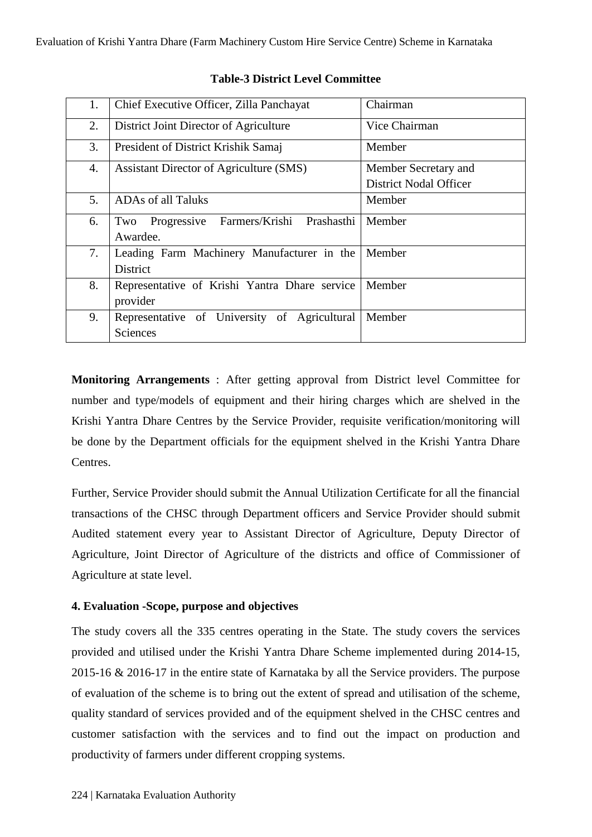| Chief Executive Officer, Zilla Panchayat        | Chairman                      |
|-------------------------------------------------|-------------------------------|
| District Joint Director of Agriculture          | Vice Chairman                 |
| President of District Krishik Samaj             | Member                        |
| Assistant Director of Agriculture (SMS)         | Member Secretary and          |
|                                                 | <b>District Nodal Officer</b> |
| <b>ADAs of all Taluks</b>                       | Member                        |
| Farmers/Krishi Prashasthi<br>Progressive<br>Two | Member                        |
| Awardee.                                        |                               |
| Leading Farm Machinery Manufacturer in the      | Member                        |
| <b>District</b>                                 |                               |
| Representative of Krishi Yantra Dhare service   | Member                        |
| provider                                        |                               |
| Representative of University of Agricultural    | Member                        |
| Sciences                                        |                               |
|                                                 |                               |

# **Table-3 District Level Committee**

**Monitoring Arrangements** : After getting approval from District level Committee for number and type/models of equipment and their hiring charges which are shelved in the Krishi Yantra Dhare Centres by the Service Provider, requisite verification/monitoring will be done by the Department officials for the equipment shelved in the Krishi Yantra Dhare Centres.

Further, Service Provider should submit the Annual Utilization Certificate for all the financial transactions of the CHSC through Department officers and Service Provider should submit Audited statement every year to Assistant Director of Agriculture, Deputy Director of Agriculture, Joint Director of Agriculture of the districts and office of Commissioner of Agriculture at state level.

# **4. Evaluation -Scope, purpose and objectives**

The study covers all the 335 centres operating in the State. The study covers the services provided and utilised under the Krishi Yantra Dhare Scheme implemented during 2014-15, 2015-16 & 2016-17 in the entire state of Karnataka by all the Service providers. The purpose of evaluation of the scheme is to bring out the extent of spread and utilisation of the scheme, quality standard of services provided and of the equipment shelved in the CHSC centres and customer satisfaction with the services and to find out the impact on production and productivity of farmers under different cropping systems.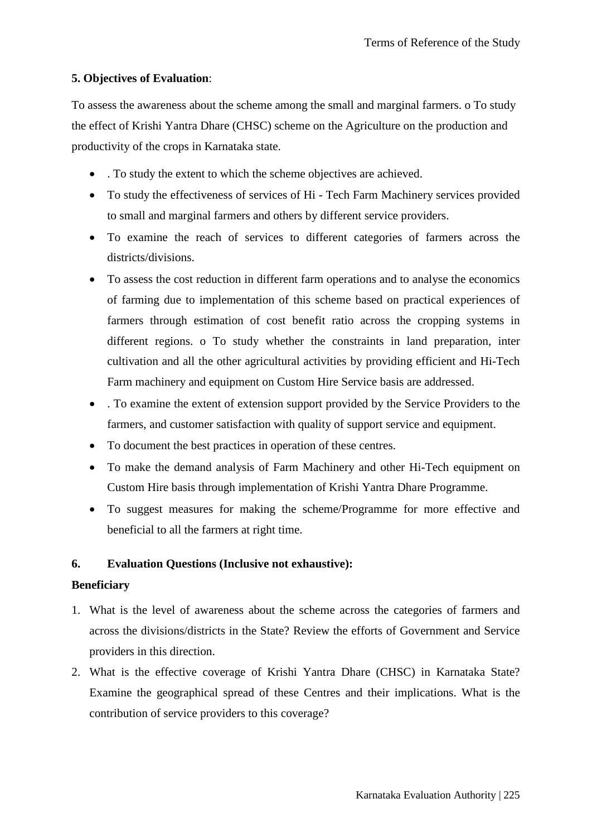# **5. Objectives of Evaluation**:

To assess the awareness about the scheme among the small and marginal farmers. o To study the effect of Krishi Yantra Dhare (CHSC) scheme on the Agriculture on the production and productivity of the crops in Karnataka state.

- . To study the extent to which the scheme objectives are achieved.
- To study the effectiveness of services of Hi Tech Farm Machinery services provided to small and marginal farmers and others by different service providers.
- To examine the reach of services to different categories of farmers across the districts/divisions.
- To assess the cost reduction in different farm operations and to analyse the economics of farming due to implementation of this scheme based on practical experiences of farmers through estimation of cost benefit ratio across the cropping systems in different regions. o To study whether the constraints in land preparation, inter cultivation and all the other agricultural activities by providing efficient and Hi-Tech Farm machinery and equipment on Custom Hire Service basis are addressed.
- . To examine the extent of extension support provided by the Service Providers to the farmers, and customer satisfaction with quality of support service and equipment.
- To document the best practices in operation of these centres.
- To make the demand analysis of Farm Machinery and other Hi-Tech equipment on Custom Hire basis through implementation of Krishi Yantra Dhare Programme.
- To suggest measures for making the scheme/Programme for more effective and beneficial to all the farmers at right time.

# **6. Evaluation Questions (Inclusive not exhaustive):**

# **Beneficiary**

- 1. What is the level of awareness about the scheme across the categories of farmers and across the divisions/districts in the State? Review the efforts of Government and Service providers in this direction.
- 2. What is the effective coverage of Krishi Yantra Dhare (CHSC) in Karnataka State? Examine the geographical spread of these Centres and their implications. What is the contribution of service providers to this coverage?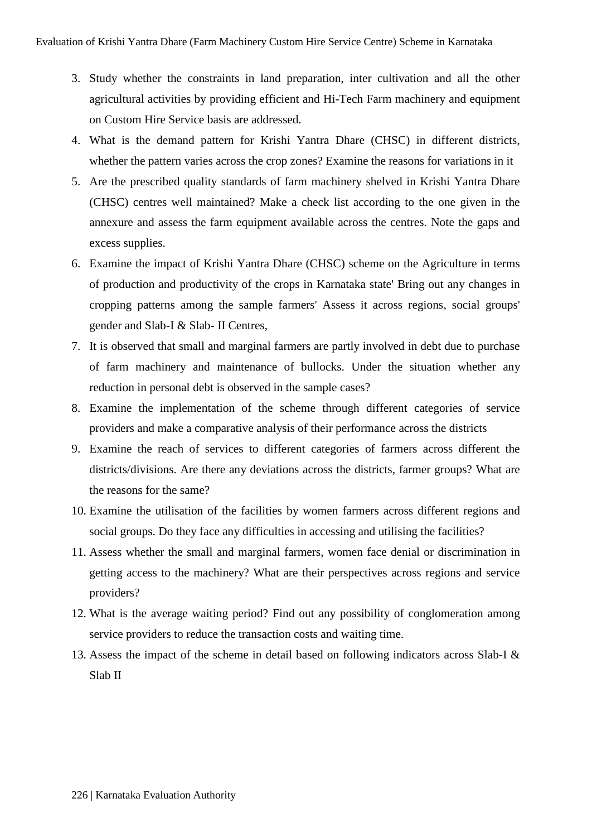- 3. Study whether the constraints in land preparation, inter cultivation and all the other agricultural activities by providing efficient and Hi-Tech Farm machinery and equipment on Custom Hire Service basis are addressed.
- 4. What is the demand pattern for Krishi Yantra Dhare (CHSC) in different districts, whether the pattern varies across the crop zones? Examine the reasons for variations in it
- 5. Are the prescribed quality standards of farm machinery shelved in Krishi Yantra Dhare (CHSC) centres well maintained? Make a check list according to the one given in the annexure and assess the farm equipment available across the centres. Note the gaps and excess supplies.
- 6. Examine the impact of Krishi Yantra Dhare (CHSC) scheme on the Agriculture in terms of production and productivity of the crops in Karnataka state' Bring out any changes in cropping patterns among the sample farmers' Assess it across regions, social groups' gender and Slab-I & Slab- II Centres,
- 7. It is observed that small and marginal farmers are partly involved in debt due to purchase of farm machinery and maintenance of bullocks. Under the situation whether any reduction in personal debt is observed in the sample cases?
- 8. Examine the implementation of the scheme through different categories of service providers and make a comparative analysis of their performance across the districts
- 9. Examine the reach of services to different categories of farmers across different the districts/divisions. Are there any deviations across the districts, farmer groups? What are the reasons for the same?
- 10. Examine the utilisation of the facilities by women farmers across different regions and social groups. Do they face any difficulties in accessing and utilising the facilities?
- 11. Assess whether the small and marginal farmers, women face denial or discrimination in getting access to the machinery? What are their perspectives across regions and service providers?
- 12. What is the average waiting period? Find out any possibility of conglomeration among service providers to reduce the transaction costs and waiting time.
- 13. Assess the impact of the scheme in detail based on following indicators across Slab-I & Slab II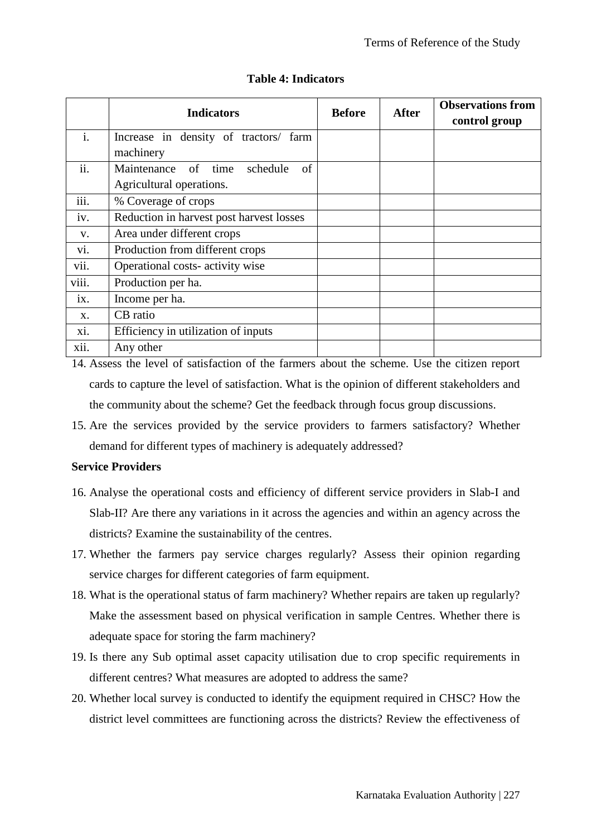|                | <b>Indicators</b>                        | <b>Before</b> | <b>After</b> | <b>Observations from</b><br>control group |
|----------------|------------------------------------------|---------------|--------------|-------------------------------------------|
| $\mathbf{i}$ . | Increase in density of tractors/ farm    |               |              |                                           |
|                | machinery                                |               |              |                                           |
| ii.            | Maintenance<br>of time<br>schedule<br>of |               |              |                                           |
|                | Agricultural operations.                 |               |              |                                           |
| iii.           | % Coverage of crops                      |               |              |                                           |
| iv.            | Reduction in harvest post harvest losses |               |              |                                           |
| V.             | Area under different crops               |               |              |                                           |
| vi.            | Production from different crops          |               |              |                                           |
| vii.           | Operational costs- activity wise         |               |              |                                           |
| viii.          | Production per ha.                       |               |              |                                           |
| 1X.            | Income per ha.                           |               |              |                                           |
| X.             | CB ratio                                 |               |              |                                           |
| X1.            | Efficiency in utilization of inputs      |               |              |                                           |
| xii.           | Any other                                |               |              |                                           |

# **Table 4: Indicators**

14. Assess the level of satisfaction of the farmers about the scheme. Use the citizen report cards to capture the level of satisfaction. What is the opinion of different stakeholders and the community about the scheme? Get the feedback through focus group discussions.

15. Are the services provided by the service providers to farmers satisfactory? Whether demand for different types of machinery is adequately addressed?

### **Service Providers**

- 16. Analyse the operational costs and efficiency of different service providers in Slab-I and Slab-II? Are there any variations in it across the agencies and within an agency across the districts? Examine the sustainability of the centres.
- 17. Whether the farmers pay service charges regularly? Assess their opinion regarding service charges for different categories of farm equipment.
- 18. What is the operational status of farm machinery? Whether repairs are taken up regularly? Make the assessment based on physical verification in sample Centres. Whether there is adequate space for storing the farm machinery?
- 19. Is there any Sub optimal asset capacity utilisation due to crop specific requirements in different centres? What measures are adopted to address the same?
- 20. Whether local survey is conducted to identify the equipment required in CHSC? How the district level committees are functioning across the districts? Review the effectiveness of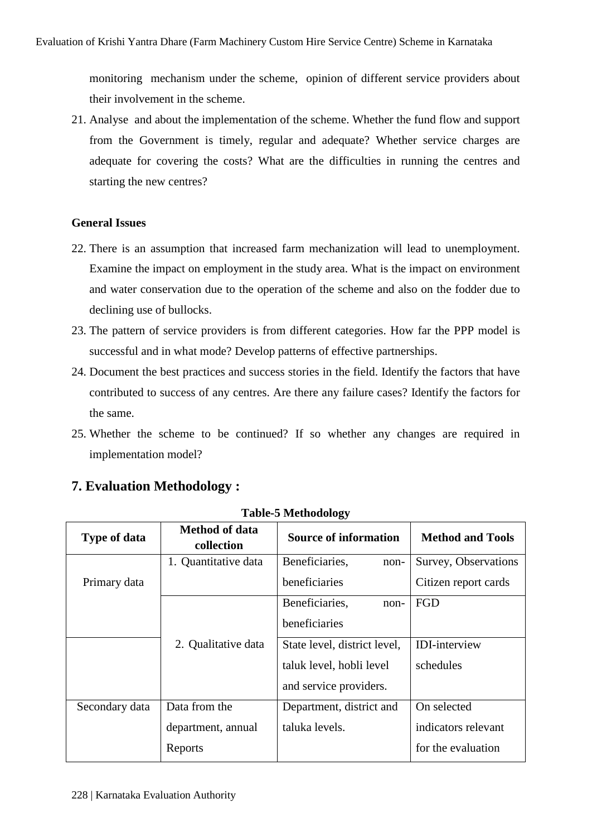monitoring mechanism under the scheme, opinion of different service providers about their involvement in the scheme.

21. Analyse and about the implementation of the scheme. Whether the fund flow and support from the Government is timely, regular and adequate? Whether service charges are adequate for covering the costs? What are the difficulties in running the centres and starting the new centres?

# **General Issues**

- 22. There is an assumption that increased farm mechanization will lead to unemployment. Examine the impact on employment in the study area. What is the impact on environment and water conservation due to the operation of the scheme and also on the fodder due to declining use of bullocks.
- 23. The pattern of service providers is from different categories. How far the PPP model is successful and in what mode? Develop patterns of effective partnerships.
- 24. Document the best practices and success stories in the field. Identify the factors that have contributed to success of any centres. Are there any failure cases? Identify the factors for the same.
- 25. Whether the scheme to be continued? If so whether any changes are required in implementation model?

# **7. Evaluation Methodology :**

| <b>Type of data</b> | <b>Method of data</b><br>collection | <b>Source of information</b> | <b>Method and Tools</b> |
|---------------------|-------------------------------------|------------------------------|-------------------------|
|                     | 1. Quantitative data                | Beneficiaries,<br>non-       | Survey, Observations    |
| Primary data        |                                     | beneficiaries                | Citizen report cards    |
|                     |                                     | Beneficiaries,<br>non-       | FGD                     |
|                     |                                     | beneficiaries                |                         |
|                     | 2. Qualitative data                 | State level, district level, | <b>IDI-interview</b>    |
|                     |                                     | taluk level, hobli level     | schedules               |
|                     |                                     | and service providers.       |                         |
| Secondary data      | Data from the                       | Department, district and     | On selected             |
|                     | department, annual                  | taluka levels.               | indicators relevant     |
|                     | Reports                             |                              | for the evaluation      |

**Table-5 Methodology**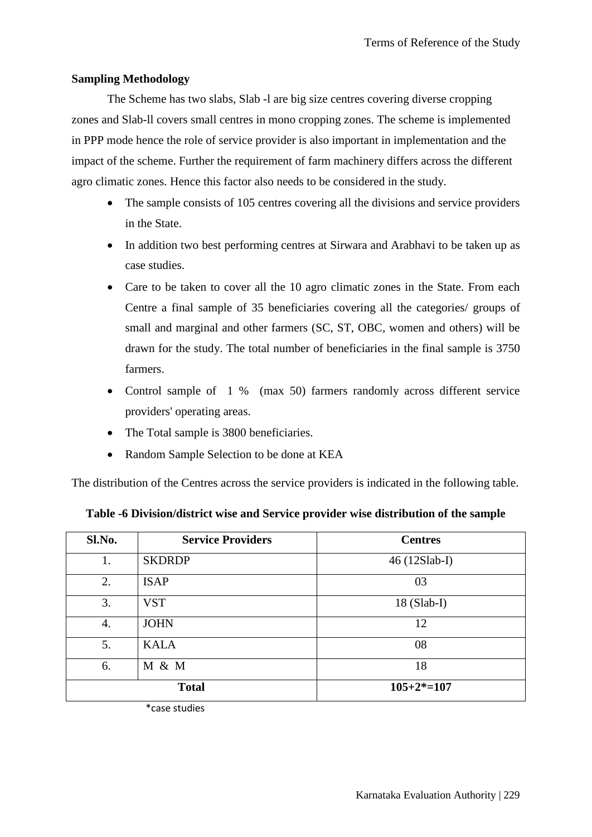## **Sampling Methodology**

The Scheme has two slabs, Slab -l are big size centres covering diverse cropping zones and Slab-ll covers small centres in mono cropping zones. The scheme is implemented in PPP mode hence the role of service provider is also important in implementation and the impact of the scheme. Further the requirement of farm machinery differs across the different agro climatic zones. Hence this factor also needs to be considered in the study.

- The sample consists of 105 centres covering all the divisions and service providers in the State.
- In addition two best performing centres at Sirwara and Arabhavi to be taken up as case studies.
- Care to be taken to cover all the 10 agro climatic zones in the State. From each Centre a final sample of 35 beneficiaries covering all the categories/ groups of small and marginal and other farmers (SC, ST, OBC, women and others) will be drawn for the study. The total number of beneficiaries in the final sample is 3750 farmers.
- Control sample of 1 % (max 50) farmers randomly across different service providers' operating areas.
- The Total sample is 3800 beneficiaries.
- Random Sample Selection to be done at KEA

The distribution of the Centres across the service providers is indicated in the following table.

| Sl.No. | <b>Service Providers</b> | <b>Centres</b> |
|--------|--------------------------|----------------|
| 1.     | <b>SKDRDP</b>            | $46(12Slab-I)$ |
| 2.     | <b>ISAP</b>              | 03             |
| 3.     | <b>VST</b>               | $18$ (Slab-I)  |
| 4.     | <b>JOHN</b>              | 12             |
| 5.     | <b>KALA</b>              | 08             |
| 6.     | M & M                    | 18             |
|        | <b>Total</b>             | $105+2*=107$   |

**Table -6 Division/district wise and Service provider wise distribution of the sample**

\*case studies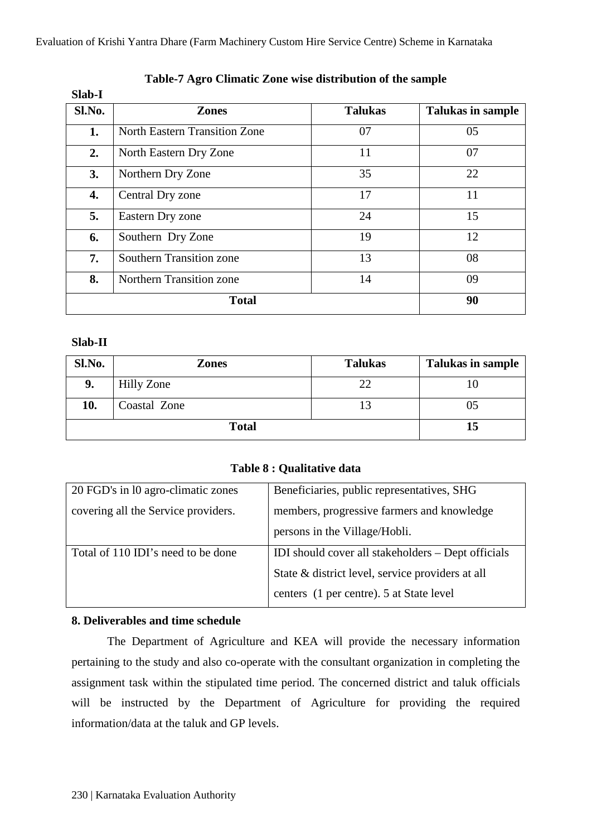Evaluation of Krishi Yantra Dhare (Farm Machinery Custom Hire Service Centre) Scheme in Karnataka

| Slad-1 |                                      |                |                          |
|--------|--------------------------------------|----------------|--------------------------|
| Sl.No. | <b>Zones</b>                         | <b>Talukas</b> | <b>Talukas in sample</b> |
| 1.     | <b>North Eastern Transition Zone</b> | 07             | 05                       |
| 2.     | North Eastern Dry Zone               | 11             | 07                       |
| 3.     | Northern Dry Zone                    | 35             | 22                       |
| 4.     | Central Dry zone                     | 17             | 11                       |
| 5.     | Eastern Dry zone                     | 24             | 15                       |
| 6.     | Southern Dry Zone                    | 19             | 12                       |
| 7.     | <b>Southern Transition zone</b>      | 13             | 08                       |
| 8.     | Northern Transition zone             | 14             | 09                       |
|        | <b>Total</b>                         |                | 90                       |

# **Table-7 Agro Climatic Zone wise distribution of the sample**

### **Slab-II**

**Slab-I**

| Sl.No.       | <b>Zones</b> | <b>Talukas</b> | <b>Talukas in sample</b> |
|--------------|--------------|----------------|--------------------------|
| 9.           | Hilly Zone   | 22             |                          |
| 10.          | Coastal Zone |                | 05                       |
| <b>Total</b> |              |                | 15                       |

# **Table 8 : Qualitative data**

| 20 FGD's in 10 agro-climatic zones  | Beneficiaries, public representatives, SHG         |
|-------------------------------------|----------------------------------------------------|
| covering all the Service providers. | members, progressive farmers and knowledge         |
|                                     | persons in the Village/Hobli.                      |
| Total of 110 IDI's need to be done  | IDI should cover all stakeholders - Dept officials |
|                                     | State & district level, service providers at all   |
|                                     | centers (1 per centre). 5 at State level           |

# **8. Deliverables and time schedule**

The Department of Agriculture and KEA will provide the necessary information pertaining to the study and also co-operate with the consultant organization in completing the assignment task within the stipulated time period. The concerned district and taluk officials will be instructed by the Department of Agriculture for providing the required information/data at the taluk and GP levels.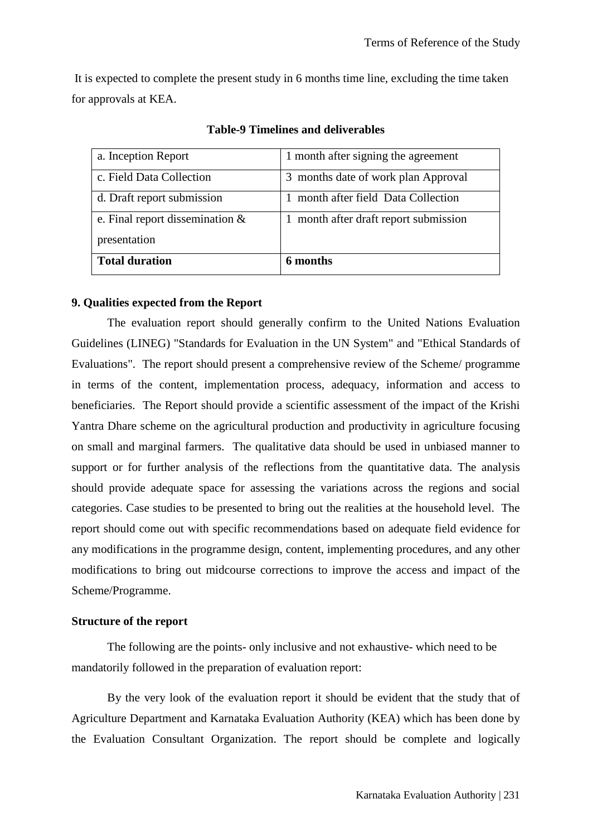It is expected to complete the present study in 6 months time line, excluding the time taken for approvals at KEA.

| a. Inception Report                | 1 month after signing the agreement |
|------------------------------------|-------------------------------------|
| c. Field Data Collection           | 3 months date of work plan Approval |
| d. Draft report submission         | month after field Data Collection   |
| e. Final report dissemination $\&$ | month after draft report submission |
| presentation                       |                                     |
| <b>Total duration</b>              | 6 months                            |

**Table-9 Timelines and deliverables**

#### **9. Qualities expected from the Report**

The evaluation report should generally confirm to the United Nations Evaluation Guidelines (LINEG) "Standards for Evaluation in the UN System" and "Ethical Standards of Evaluations". The report should present a comprehensive review of the Scheme/ programme in terms of the content, implementation process, adequacy, information and access to beneficiaries. The Report should provide a scientific assessment of the impact of the Krishi Yantra Dhare scheme on the agricultural production and productivity in agriculture focusing on small and marginal farmers. The qualitative data should be used in unbiased manner to support or for further analysis of the reflections from the quantitative data. The analysis should provide adequate space for assessing the variations across the regions and social categories. Case studies to be presented to bring out the realities at the household level. The report should come out with specific recommendations based on adequate field evidence for any modifications in the programme design, content, implementing procedures, and any other modifications to bring out midcourse corrections to improve the access and impact of the Scheme/Programme.

#### **Structure of the report**

The following are the points- only inclusive and not exhaustive- which need to be mandatorily followed in the preparation of evaluation report:

By the very look of the evaluation report it should be evident that the study that of Agriculture Department and Karnataka Evaluation Authority (KEA) which has been done by the Evaluation Consultant Organization. The report should be complete and logically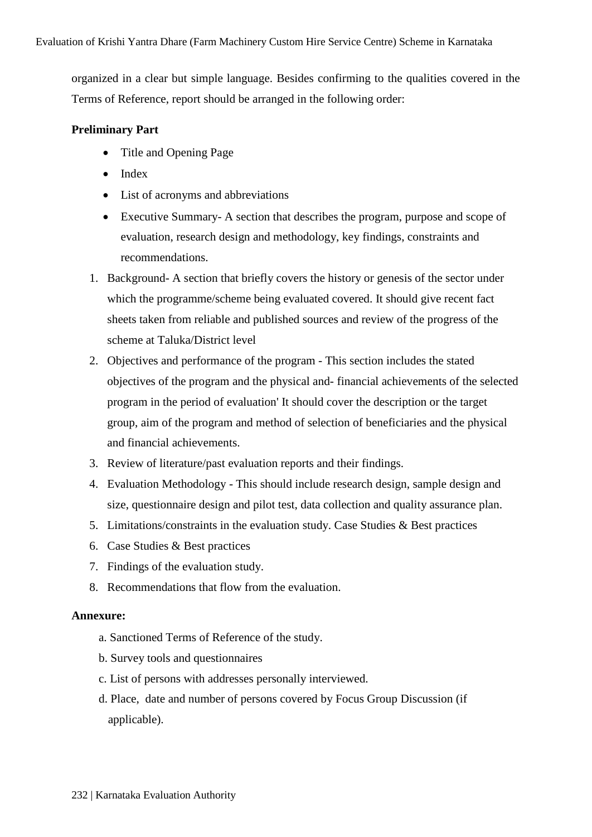organized in a clear but simple language. Besides confirming to the qualities covered in the Terms of Reference, report should be arranged in the following order:

# **Preliminary Part**

- Title and Opening Page
- Index
- List of acronyms and abbreviations
- Executive Summary- A section that describes the program, purpose and scope of evaluation, research design and methodology, key findings, constraints and recommendations.
- 1. Background- A section that briefly covers the history or genesis of the sector under which the programme/scheme being evaluated covered. It should give recent fact sheets taken from reliable and published sources and review of the progress of the scheme at Taluka/District level
- 2. Objectives and performance of the program This section includes the stated objectives of the program and the physical and- financial achievements of the selected program in the period of evaluation' It should cover the description or the target group, aim of the program and method of selection of beneficiaries and the physical and financial achievements.
- 3. Review of literature/past evaluation reports and their findings.
- 4. Evaluation Methodology This should include research design, sample design and size, questionnaire design and pilot test, data collection and quality assurance plan.
- 5. Limitations/constraints in the evaluation study. Case Studies & Best practices
- 6. Case Studies & Best practices
- 7. Findings of the evaluation study.
- 8. Recommendations that flow from the evaluation.

### **Annexure:**

- a. Sanctioned Terms of Reference of the study.
- b. Survey tools and questionnaires
- c. List of persons with addresses personally interviewed.
- d. Place, date and number of persons covered by Focus Group Discussion (if applicable).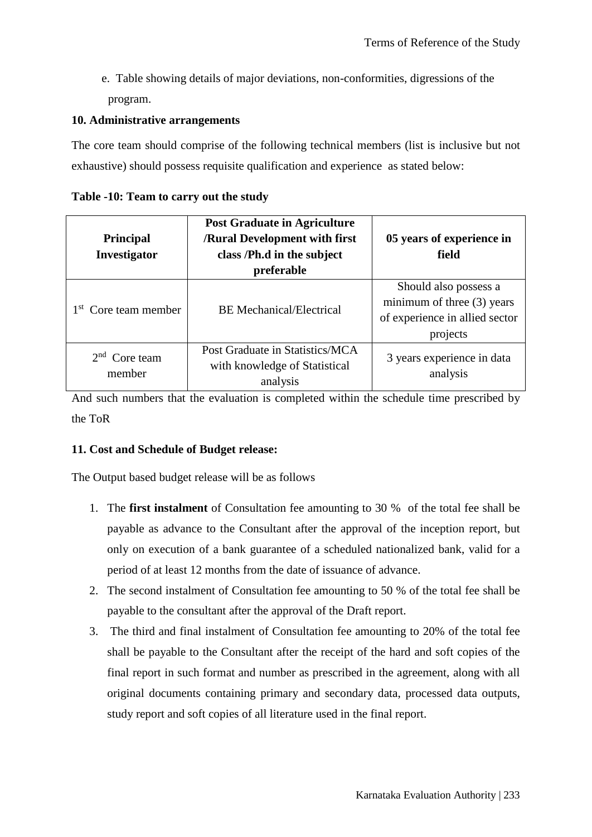e. Table showing details of major deviations, non-conformities, digressions of the program.

# **10. Administrative arrangements**

The core team should comprise of the following technical members (list is inclusive but not exhaustive) should possess requisite qualification and experience as stated below:

| <b>Principal</b><br>Investigator | <b>Post Graduate in Agriculture</b><br><b>/Rural Development with first</b><br>class /Ph.d in the subject<br>preferable | 05 years of experience in<br>field                                                                  |
|----------------------------------|-------------------------------------------------------------------------------------------------------------------------|-----------------------------------------------------------------------------------------------------|
| 1 <sup>st</sup> Core team member | <b>BE</b> Mechanical/Electrical                                                                                         | Should also possess a<br>minimum of three $(3)$ years<br>of experience in allied sector<br>projects |
| Core team<br>member              | Post Graduate in Statistics/MCA<br>with knowledge of Statistical<br>analysis                                            | 3 years experience in data<br>analysis                                                              |

And such numbers that the evaluation is completed within the schedule time prescribed by the ToR

### **11. Cost and Schedule of Budget release:**

The Output based budget release will be as follows

- 1. The **first instalment** of Consultation fee amounting to 30 % of the total fee shall be payable as advance to the Consultant after the approval of the inception report, but only on execution of a bank guarantee of a scheduled nationalized bank, valid for a period of at least 12 months from the date of issuance of advance.
- 2. The second instalment of Consultation fee amounting to 50 % of the total fee shall be payable to the consultant after the approval of the Draft report.
- 3. The third and final instalment of Consultation fee amounting to 20% of the total fee shall be payable to the Consultant after the receipt of the hard and soft copies of the final report in such format and number as prescribed in the agreement, along with all original documents containing primary and secondary data, processed data outputs, study report and soft copies of all literature used in the final report.